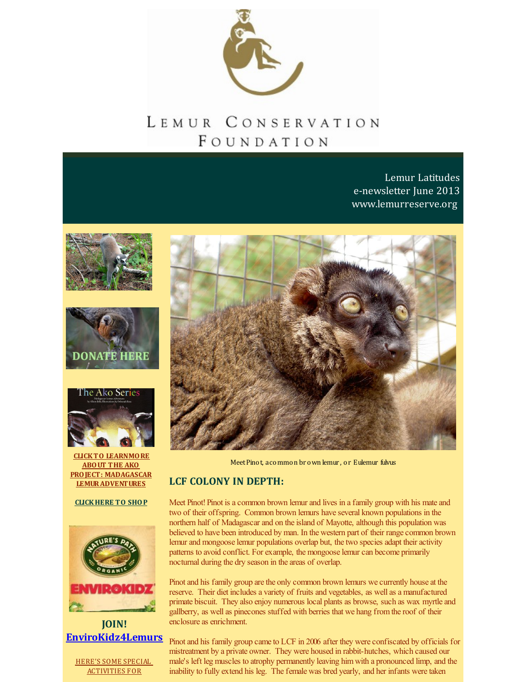

# LEMUR CONSERVATION FOUNDATION

Lemur Latitudes e-newsletter June 2013 [www.lemurreserve.org](http://www.lemurreserve.org)







**CLICKTO LEARNMORE ABOUT THE AKO PROJECT: MADAGASCAR [LEMURADVENTURES](http://r20.rs6.net/tn.jsp?f=001VwqLnWVsT0vE0t27suLUyh3Rtc1QIGhHU10qbQ8__SGvmPro4zHj_MXiS32nblpUBHBLuccaisUFN2YmcPWa61LgOvyZEB9bh0k0RAem0t2nZdmQOegg5UQ7hXSU1d5gyew4gwX7BR7GgxHux_wGMjQUtcPZ4s2yIiZ3dxOl1MS-dlvZYCv7Hvt9tOn3BenzXKQFWqcZT1E=&c=&ch=)**

**[CLICKHERE](http://n-malagasy-shop-1355257814696.hostedbyamazon.com/) TO SHOP**



**JOIN! [EnviroKidz4Lemurs](https://friendraising.towercare.com/Markslist/site/displaySite.do?siteId=390)**

HERE'S SOME SPECIAL [ACTIVITIES](https://friendraising.towercare.com/Markslist/site/displaySite.do?siteId=390) FOR



MeetPinot, acommon br own lemur , or Eulemur fulvus

## **LCF COLONY IN DEPTH:**

Meet Pinot! Pinot is a common brown lemur and lives in a family group with his mate and two of their offspring. Common brown lemurs have several known populations in the northern half of Madagascar and on the island of Mayotte, although this population was believed to have been introduced by man. In the western part of their range common brown lemur and mongoose lemur populations overlap but, the two species adapt their activity patterns to avoid conflict. For example, the mongoose lemur can become primarily nocturnal during the dry season in the areas of overlap.

Pinot and his family group are the only common brown lemurs we currently house at the reserve. Their diet includes a variety of fruits and vegetables, as well as a manufactured primate biscuit. They also enjoy numerous local plants as browse, such as wax myrtle and gallberry, as well as pinecones stuffed with berries that we hang fromthe roof of their enclosure as enrichment.

Pinot and his family group came to LCF in 2006 after they were confiscated by officials for mistreatment by a private owner. They were housed in rabbit-hutches, which caused our male's left leg muscles to atrophy permanently leaving himwith a pronounced limp, and the inability to fully extend his leg. The female was bred yearly, and her infants were taken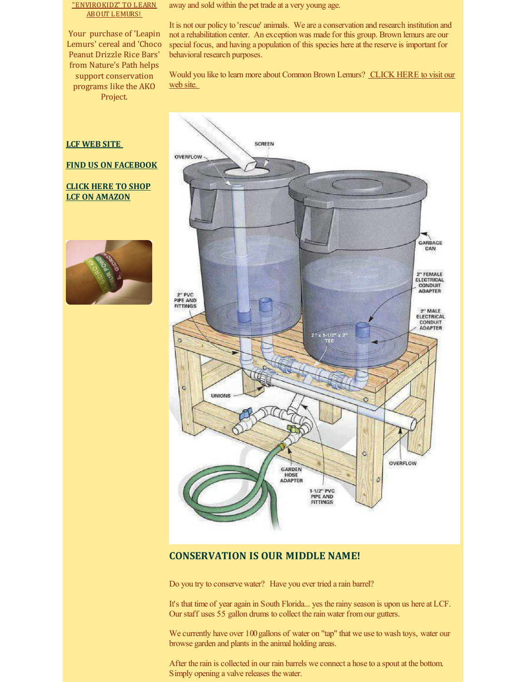#### "ENVIROKIDZ" TO LEARN ABOUT LEMURS!

Your purchase of 'Leapin Lemurs' cereal and 'Choco Peanut Drizzle Rice Bars' from Nature's Path helps support conservation programs like the AKO Project.

away and sold within the pet trade at a very young age.

It is not our policy to 'rescue' animals. We are a conservation and research institution and not a rehabilitation center. An exception was made for this group. Brown lemurs are our special focus, and having a population of this species here at the reserve is important for behavioral research purposes.

Would you like to learn more about [Common](http://www.lemurreserve.org/ourcolony.html) Brown Lemurs? CLICK HERE to visit our web site.

#### **LCF [WEB](http://www.lemurreserve.org) SITE**

#### **FIND US ON [FACEBOOK](http://www.facebook.com/LemurConservation)**

#### **CLICK HERE TO SHOP LCF ON [AMAZON](http://r20.rs6.net/tn.jsp?f=001VwqLnWVsT0vE0t27suLUyh3Rtc1QIGhHU10qbQ8__SGvmPro4zHj_HHc4IUBZHUgPnEwMmfdA4FRgJWRdhT_o4mH5jAPADDME4EsrcsTQrhdvAHmrn1MkTUcD2MN8Z0KNUjk5gO1KZXA7nZEzMAtg58zjO87B3o-CPA-wsIgxlzb5AKZONxSk13IBQgcipzNWdbDIX9n6j3l4sX-KCozlg==&c=&ch=)**





## **CONSERVATION IS OUR MIDDLE NAME!**

Do you try to conserve water? Have you ever tried a rain barrel?

It's that time of year again in South Florida... yes the rainy season is upon us here at LCF. Our staff uses 55 gallon drums to collect the rain water fromour gutters.

We currently have over 100 gallons of water on "tap" that we use to wash toys, water our browse garden and plants in the animal holding areas.

After the rain is collected in our rain barrels we connect a hose to a spout at the bottom. Simply opening a valve releases the water.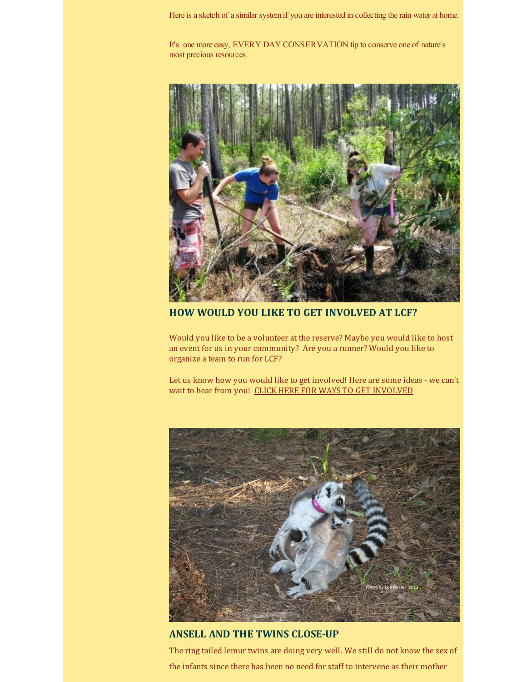Here is a sketch of a similar system if you are interested in collecting the rain water at home.

It's one more easy, EVERY DAY CONSERVATION tip to conserve one of nature's most precious resources.



**HOW WOULD YOU LIKE TO GET INVOLVED AT LCF?**

Would you like to be a volunteer at the reserve? Maybe you would like to host an event for us in your community? Are you a runner? Would you like to organize a team to run for LCF?

Let us know how you would like to get involved! Here are some ideas - we can't wait to hear from you! CLICK HERE FOR WAYS TO GET [INVOLVED](http://r20.rs6.net/tn.jsp?f=001VwqLnWVsT0vE0t27suLUyh3Rtc1QIGhHU10qbQ8__SGvmPro4zHj_Em_BHHfO8LlbPRqc55UgxfdafL5ZcKugIef_fNpMQf0plQZdmInPXKG4PHSgOf1adl97NgQ6-A2rsEIiSZeOShQl-fYxYclSJOW2LM8QLS4SnGMI8bnmqEcu5CsiNQ-HGhf3H39a9b0vN396akkw1h5VpoF5lgvMY7A4bn_WqKG1DiNpc49xVJ_1YvLZjoGN4s3tWBnfGhY&c=&ch=)



## **ANSELL AND THE TWINS CLOSE-UP**

The ring tailed lemur twins are doing very well. We still do not know the sex of the infants since there has been no need for staff to intervene as their mother